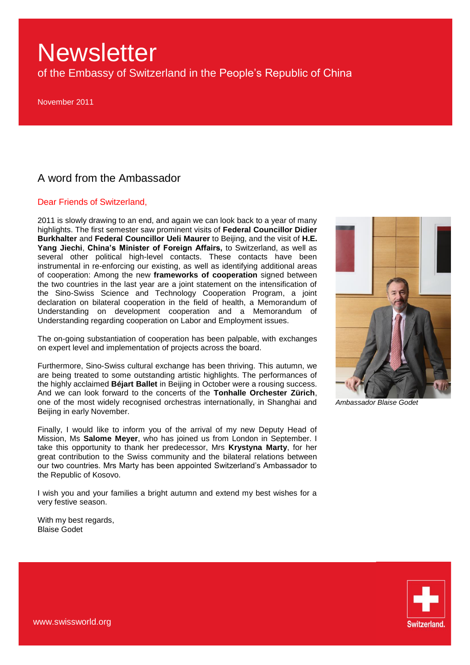of the Embassy of Switzerland in the People"s Republic of China

November 2011

### A word from the Ambassador

#### Dear Friends of Switzerland,

2011 is slowly drawing to an end, and again we can look back to a year of many highlights. The first semester saw prominent visits of **Federal Councillor Didier Burkhalter** and **Federal Councillor Ueli Maurer** to Beijing, and the visit of **H.E. Yang Jiechi**, **China's Minister of Foreign Affairs,** to Switzerland, as well as several other political high-level contacts. These contacts have been instrumental in re-enforcing our existing, as well as identifying additional areas of cooperation: Among the new **frameworks of cooperation** signed between the two countries in the last year are a joint statement on the intensification of the Sino-Swiss Science and Technology Cooperation Program, a joint declaration on bilateral cooperation in the field of health, a Memorandum of Understanding on development cooperation and a Memorandum of Understanding regarding cooperation on Labor and Employment issues.

The on-going substantiation of cooperation has been palpable, with exchanges on expert level and implementation of projects across the board.

Furthermore, Sino-Swiss cultural exchange has been thriving. This autumn, we are being treated to some outstanding artistic highlights. The performances of the highly acclaimed **Béjart Ballet** in Beijing in October were a rousing success. And we can look forward to the concerts of the **Tonhalle Orchester Zürich**, one of the most widely recognised orchestras internationally, in Shanghai and Beijing in early November.

Finally, I would like to inform you of the arrival of my new Deputy Head of Mission, Ms **Salome Meyer**, who has joined us from London in September. I take this opportunity to thank her predecessor, Mrs **Krystyna Marty**, for her great contribution to the Swiss community and the bilateral relations between our two countries. Mrs Marty has been appointed Switzerland"s Ambassador to the Republic of Kosovo.

I wish you and your families a bright autumn and extend my best wishes for a very festive season.

With my best regards, Blaise Godet



*Ambassador Blaise Godet*

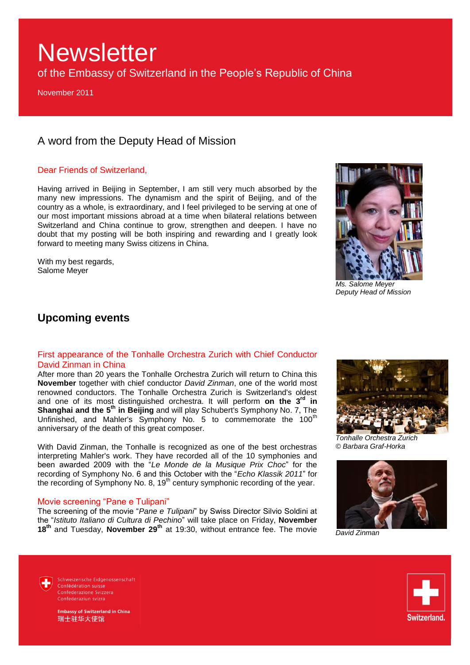of the Embassy of Switzerland in the People"s Republic of China

November 2011

## A word from the Deputy Head of Mission

#### Dear Friends of Switzerland,

Having arrived in Beijing in September, I am still very much absorbed by the many new impressions. The dynamism and the spirit of Beijing, and of the country as a whole, is extraordinary, and I feel privileged to be serving at one of our most important missions abroad at a time when bilateral relations between Switzerland and China continue to grow, strengthen and deepen. I have no doubt that my posting will be both inspiring and rewarding and I greatly look forward to meeting many Swiss citizens in China.

With my best regards. Salome Meyer



*Ms. Salome Meyer Deputy Head of Mission*

### **Upcoming events**

#### First appearance of the Tonhalle Orchestra Zurich with Chief Conductor David Zinman in China

After more than 20 years the Tonhalle Orchestra Zurich will return to China this **November** together with chief conductor *David Zinman*, one of the world most renowned conductors. The Tonhalle Orchestra Zurich is Switzerland's oldest and one of its most distinguished orchestra. It will perform **on the 3rd in Shanghai and the 5th in Beijing** and will play Schubert's Symphony No. 7, The Unfinished, and Mahler's Symphony No. 5 to commemorate the 100<sup>th</sup> anniversary of the death of this great composer.

With David Zinman, the Tonhalle is recognized as one of the best orchestras interpreting Mahler's work. They have recorded all of the 10 symphonies and been awarded 2009 with the "*Le Monde de la Musique Prix Choc*" for the recording of Symphony No. 6 and this October with the "*Echo Klassik 2011*" for the recording of Symphony No. 8,  $19<sup>th</sup>$  century symphonic recording of the year.

#### Movie screening "Pane e Tulipani"

The screening of the movie "*Pane e Tulipani*" by Swiss Director Silvio Soldini at the "*Istituto Italiano di Cultura di Pechino*" will take place on Friday, **November 18th** and Tuesday, **November 29th** at 19:30, without entrance fee. The movie



*Tonhalle Orchestra Zurich © Barbara Graf-Horka*



*David Zinman*

Schweizerische Eidgenossenschaft Confédération suisse Confederazione Svizzera Confederaziun svizra

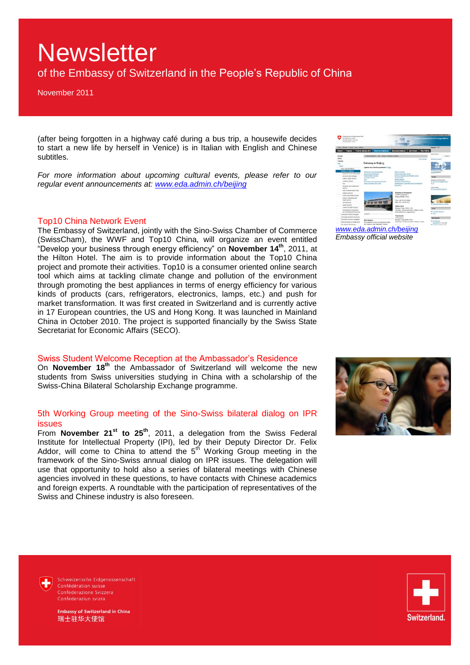## of the Embassy of Switzerland in the People"s Republic of China

November 2011

(after being forgotten in a highway café during a bus trip, a housewife decides to start a new life by herself in Venice) is in Italian with English and Chinese subtitles.

For more information about upcoming cultural events, please refer to our *regular event announcements at: [www.eda.admin.ch/beijing](http://www.eda.admin.ch/beijing)*

#### Top10 China Network Event

The Embassy of Switzerland, jointly with the Sino-Swiss Chamber of Commerce (SwissCham), the WWF and Top10 China, will organize an event entitled "Develop your business through energy efficiency" on **November 14th**, 2011, at the Hilton Hotel. The aim is to provide information about the Top10 China project and promote their activities. Top10 is a consumer oriented online search tool which aims at tackling climate change and pollution of the environment through promoting the best appliances in terms of energy efficiency for various kinds of products (cars, refrigerators, electronics, lamps, etc.) and push for market transformation. It was first created in Switzerland and is currently active in 17 European countries, the US and Hong Kong. It was launched in Mainland China in October 2010. The project is supported financially by the Swiss State Secretariat for Economic Affairs (SECO).

#### Swiss Student Welcome Reception at the Ambassador's Residence

On **November 18th** the Ambassador of Switzerland will welcome the new students from Swiss universities studying in China with a scholarship of the Swiss-China Bilateral Scholarship Exchange programme.

#### 5th Working Group meeting of the Sino-Swiss bilateral dialog on IPR issues

From **November 21st to 25th**, 2011, a delegation from the Swiss Federal Institute for Intellectual Property (IPI), led by their Deputy Director Dr. Felix Addor, will come to China to attend the  $5<sup>th</sup>$  Working Group meeting in the framework of the Sino-Swiss annual dialog on IPR issues. The delegation will use that opportunity to hold also a series of bilateral meetings with Chinese agencies involved in these questions, to have contacts with Chinese academics and foreign experts. A roundtable with the participation of representatives of the Swiss and Chinese industry is also foreseen.

| Schweizersche Eidgenossenschaft<br>Contingentation, subset<br>Confederazione Sciziana<br>Confederation svizze |                                                                              |                                                                             | <b>Faderal Department of Foreign Affairs</b>             |
|---------------------------------------------------------------------------------------------------------------|------------------------------------------------------------------------------|-----------------------------------------------------------------------------|----------------------------------------------------------|
| mission E. Hotevision T. Philadelphi & Marian Z. Managemi                                                     |                                                                              |                                                                             | <b>Drestock   19:31</b>                                  |
| Topics                                                                                                        | Travel advice (fr)<br>Representations                                        | The FDFA<br><b>Documentation</b><br><b>Services</b>                         |                                                          |
|                                                                                                               | » Перишевавсех у Ава » Стень у Бэкмену и Ворга-                              |                                                                             | <b>CIREN MAINTI</b>                                      |
| Europe<br><b>Africa</b>                                                                                       |                                                                              |                                                                             | <b>Deauf.</b>                                            |
| <b>Financis</b>                                                                                               |                                                                              | Part writing                                                                | <b>Abunung</b> assets                                    |
| Am a                                                                                                          | <b>Embassy in Beijing</b>                                                    |                                                                             |                                                          |
| China                                                                                                         |                                                                              |                                                                             | <b>Bar The Managers</b>                                  |
| Twis representations                                                                                          | Update New York Requirements IP Your                                         |                                                                             |                                                          |
| <b>Brabaccy in Heigng</b>                                                                                     |                                                                              |                                                                             | <b>CP Judget A for Swing</b>                             |
| Welcame by the Attitustador                                                                                   | Welcame by the Arthursador                                                   | Defenice Section                                                            | <b>Inneed Education</b>                                  |
| Access to the Critisms'                                                                                       | Access to the Embasier<br>Political Albans Section                           | <b>Duture and Media Section</b><br>Science, Education and Health section    |                                                          |
| <b>Dollout Affairs Sachie</b>                                                                                 | Consular Section                                                             | <b>Information</b>                                                          | <b>Einst</b>                                             |
| Consular Section                                                                                              | <b>Visit</b>                                                                 | Health Haracle                                                              | Emboyce of Sedantard                                     |
| Visa                                                                                                          | Economic and Coremanial Section<br>Sensa Benmina Hab China                   | Grants for Great Perintin<br>Dowlong of Coppenhors and Humanitarian         | the two adult information is using<br>6.173              |
| Concerne and Expense in                                                                                       |                                                                              | Aut section                                                                 |                                                          |
| Sextion                                                                                                       |                                                                              |                                                                             | Visa ser fire                                            |
| Dietos Business Hub Chies                                                                                     |                                                                              |                                                                             | in terminatene ammon                                     |
| Deboxe Section                                                                                                |                                                                              | <b>Entern of Syltanized</b>                                                 |                                                          |
| Outlass and Moda Section                                                                                      |                                                                              | Santhan Dongwate 3<br>Belong 100006 China                                   |                                                          |
| Science, Education and                                                                                        |                                                                              |                                                                             |                                                          |
| Hungille suprises                                                                                             |                                                                              | Tel: Link 14 8510 0000                                                      |                                                          |
| Anti-supraneurs                                                                                               |                                                                              | Fax: +80 10 6532 4353                                                       | Gaseanedurova a China                                    |
| Hoath Hogands                                                                                                 |                                                                              | Office hours                                                                |                                                          |
| Grants for Small Projects                                                                                     |                                                                              | Monday, Friday, OE 06.12 00                                                 | <b>Limbs</b>                                             |
| Development Cooperation                                                                                       |                                                                              | Saturday, Sunday and public holidays closed                                 | <b><i>ER COORAN BENILES</i></b>                          |
| and Harsantarian dataprison                                                                                   | <b>BFDFA</b>                                                                 | in the affection's on appointment.                                          | <b>CH VILLA</b>                                          |
| Conside General Shanchar<br>Consigner-General Homoshong                                                       |                                                                              | Visa Section                                                                |                                                          |
|                                                                                                               |                                                                              | Virginia hours                                                              | ESTEQUIAM                                                |
| Consulate General Guangation-<br>Representations in Sedan tand                                                | <b>EOA</b> Helaling                                                          | Monday Croker 29-30, 11:00<br>(Saturday, Sanday and sublic holidays closed) | <b>III</b> Carlislate                                    |
| Ney data for the People's                                                                                     | EDA Helpine in one awaraie Anisulizede<br>die Fragen zu des folgenden Themen |                                                                             | provention (14 KB, pat)<br><b>ID Gallebin (Made with</b> |
|                                                                                                               |                                                                              |                                                                             |                                                          |

*Embassy official website*





Schweizerische Eidgenossenschaft Confédération suisse Confederazione Svizzera Confederaziun svizra

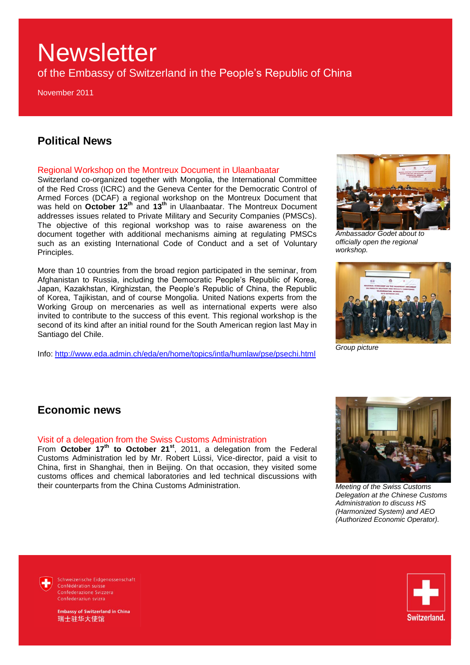of the Embassy of Switzerland in the People"s Republic of China

November 2011

### **Political News**

#### Regional Workshop on the Montreux Document in Ulaanbaatar

Switzerland co-organized together with Mongolia, the International Committee of the Red Cross (ICRC) and the Geneva Center for the Democratic Control of Armed Forces (DCAF) a regional workshop on the Montreux Document that was held on **October 12th** and **13th** in Ulaanbaatar. The Montreux Document addresses issues related to Private Military and Security Companies (PMSCs). The objective of this regional workshop was to raise awareness on the document together with additional mechanisms aiming at regulating PMSCs such as an existing International Code of Conduct and a set of Voluntary Principles.

More than 10 countries from the broad region participated in the seminar, from Afghanistan to Russia, including the Democratic People"s Republic of Korea, Japan, Kazakhstan, Kirghizstan, the People"s Republic of China, the Republic of Korea, Tajikistan, and of course Mongolia. United Nations experts from the Working Group on mercenaries as well as international experts were also invited to contribute to the success of this event. This regional workshop is the second of its kind after an initial round for the South American region last May in Santiago del Chile.

Info:<http://www.eda.admin.ch/eda/en/home/topics/intla/humlaw/pse/psechi.html>



*Ambassador Godet about to officially open the regional workshop.*



*Group picture*

### **Economic news**

#### Visit of a delegation from the Swiss Customs Administration

From **October 17th to October 21st**, 2011, a delegation from the Federal Customs Administration led by Mr. Robert Lüssi, Vice-director, paid a visit to China, first in Shanghai, then in Beijing. On that occasion, they visited some customs offices and chemical laboratories and led technical discussions with their counterparts from the China Customs Administration.



*Meeting of the Swiss Customs Delegation at the Chinese Customs Administration to discuss HS (Harmonized System) and AEO (Authorized Economic Operator).*

Schweizerische Eidgenossenschaft Confédération suisse Confederazione Svizzera Confederaziun svizra

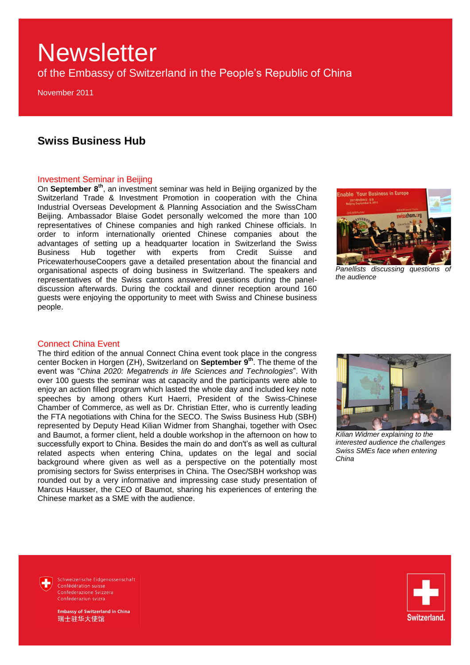of the Embassy of Switzerland in the People"s Republic of China

November 2011

### **Swiss Business Hub**

#### Investment Seminar in Beijing

On **September 8th**, an investment seminar was held in Beijing organized by the Switzerland Trade & Investment Promotion in cooperation with the China Industrial Overseas Development & Planning Association and the SwissCham Beijing. Ambassador Blaise Godet personally welcomed the more than 100 representatives of Chinese companies and high ranked Chinese officials. In order to inform internationally oriented Chinese companies about the advantages of setting up a headquarter location in Switzerland the Swiss Business Hub together with experts from Credit Suisse and PricewaterhouseCoopers gave a detailed presentation about the financial and organisational aspects of doing business in Switzerland. The speakers and representatives of the Swiss cantons answered questions during the paneldiscussion afterwards. During the cocktail and dinner reception around 160 guests were enjoying the opportunity to meet with Swiss and Chinese business people.



*Panellists discussing questions of the audience*

#### Connect China Event

The third edition of the annual Connect China event took place in the congress center Bocken in Horgen (ZH), Switzerland on **September 9th**. The theme of the event was "*China 2020: Megatrends in life Sciences and Technologies*". With over 100 guests the seminar was at capacity and the participants were able to enjoy an action filled program which lasted the whole day and included key note speeches by among others Kurt Haerri, President of the Swiss-Chinese Chamber of Commerce, as well as Dr. Christian Etter, who is currently leading the FTA negotiations with China for the SECO. The Swiss Business Hub (SBH) represented by Deputy Head Kilian Widmer from Shanghai, together with Osec and Baumot, a former client, held a double workshop in the afternoon on how to successfully export to China. Besides the main do and don't's as well as cultural related aspects when entering China, updates on the legal and social background where given as well as a perspective on the potentially most promising sectors for Swiss enterprises in China. The Osec/SBH workshop was rounded out by a very informative and impressing case study presentation of Marcus Hausser, the CEO of Baumot, sharing his experiences of entering the Chinese market as a SME with the audience.



*Kilian Widmer explaining to the interested audience the challenges Swiss SMEs face when entering China*

Schweizerische Eidgenossenschaft



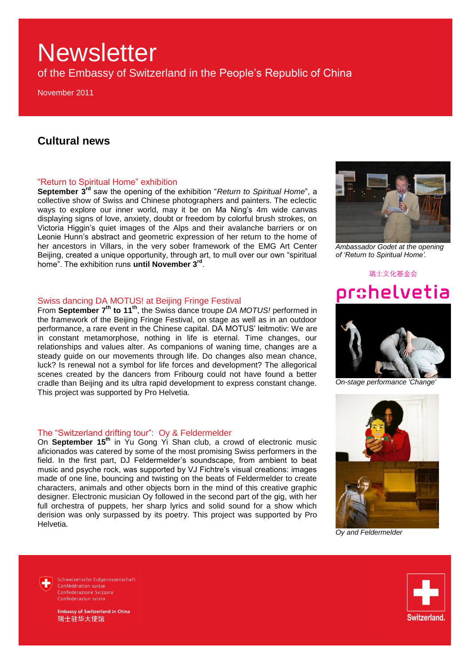of the Embassy of Switzerland in the People"s Republic of China

November 2011

### **Cultural news**

#### "Return to Spiritual Home" exhibition

**September 3rd** saw the opening of the exhibition "*Return to Spiritual Home*", a collective show of Swiss and Chinese photographers and painters. The eclectic ways to explore our inner world, may it be on Ma Ning's 4m wide canvas displaying signs of love, anxiety, doubt or freedom by colorful brush strokes, on Victoria Higgin"s quiet images of the Alps and their avalanche barriers or on Leonie Hunn"s abstract and geometric expression of her return to the home of her ancestors in Villars, in the very sober framework of the EMG Art Center Beijing, created a unique opportunity, through art, to mull over our own "spiritual home". The exhibition runs **until November 3rd** .

#### Swiss dancing DA MOTUS! at Beijing Fringe Festival

From **September 7th to 11th**, the Swiss dance troupe *DA MOTUS!* performed in the framework of the Beijing Fringe Festival, on stage as well as in an outdoor performance, a rare event in the Chinese capital. DA MOTUS' leitmotiv: We are in constant metamorphose, nothing in life is eternal. Time changes, our relationships and values alter. As companions of waning time, changes are a steady guide on our movements through life. Do changes also mean chance, luck? Is renewal not a symbol for life forces and development? The allegorical scenes created by the dancers from Fribourg could not have found a better cradle than Beijing and its ultra rapid development to express constant change. This project was supported by Pro Helvetia.

#### The "Switzerland drifting tour": Oy & Feldermelder

On **September 15th** in Yu Gong Yi Shan club, a crowd of electronic music aficionados was catered by some of the most promising Swiss performers in the field. In the first part, DJ Feldermelder"s soundscape, from ambient to beat music and psyche rock, was supported by VJ Fichtre"s visual creations: images made of one line, bouncing and twisting on the beats of Feldermelder to create characters, animals and other objects born in the mind of this creative graphic designer. Electronic musician Oy followed in the second part of the gig, with her full orchestra of puppets, her sharp lyrics and solid sound for a show which derision was only surpassed by its poetry. This project was supported by Pro Helvetia.



*Ambassador Godet at the opening of "Return to Spiritual Home".*

# 瑞士文化基金会 pr ${\tt s}$ helvetia



*On-stage performance 'Change'*



*Oy and Feldermelder*

Schweizerische Eidgenossenschaft Confédération suisse Confederazione Svizzera Confederaziun svizra

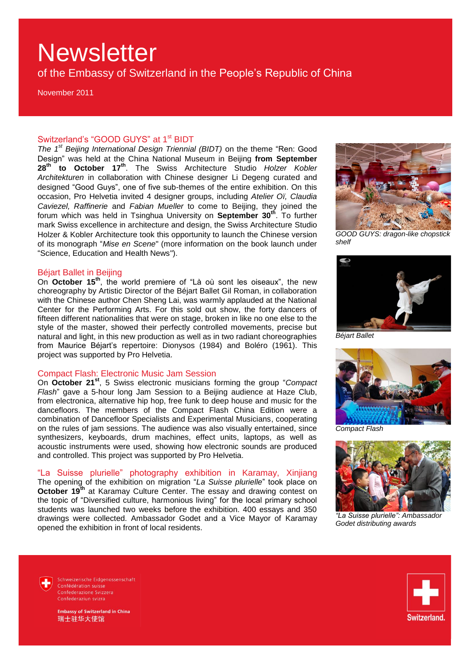of the Embassy of Switzerland in the People"s Republic of China

November 2011

#### Switzerland's "GOOD GUYS" at 1<sup>st</sup> BIDT

*The 1st Beijing International Design Triennial (BIDT)* on the theme "Ren: Good Design" was held at the China National Museum in Beijing **from September 28th to October 17th** . The Swiss Architecture Studio *Holzer Kobler Architekturen* in collaboration with Chinese designer Li Degeng curated and designed "Good Guys", one of five sub-themes of the entire exhibition. On this occasion, Pro Helvetia invited 4 designer groups, including *Atelier Oï, Claudia Caviezel, Raffinerie* and *Fabian Mueller* to come to Beijing, they joined the forum which was held in Tsinghua University on **September 30th** . To further mark Swiss excellence in architecture and design, the Swiss Architecture Studio Holzer & Kobler Architecture took this opportunity to launch the Chinese version of its monograph "*Mise en Scene*" (more information on the book launch under "Science, Education and Health News").

#### Béjart Ballet in Beijing

On **October 15th**, the world premiere of "Là où sont les oiseaux", the new choreography by Artistic Director of the Béjart Ballet Gil Roman, in collaboration with the Chinese author Chen Sheng Lai, was warmly applauded at the National Center for the Performing Arts. For this sold out show, the forty dancers of fifteen different nationalities that were on stage, broken in like no one else to the style of the master, showed their perfectly controlled movements, precise but natural and light, in this new production as well as in two radiant choreographies from Maurice Béjart's repertoire: Dionysos (1984) and Boléro (1961). This project was supported by Pro Helvetia.

#### Compact Flash: Electronic Music Jam Session

On **October 21st**, 5 Swiss electronic musicians forming the group "*Compact Flash*" gave a 5-hour long Jam Session to a Beijing audience at Haze Club, from electronica, alternative hip hop, free funk to deep house and music for the dancefloors. The members of the Compact Flash China Edition were a combination of Dancefloor Specialists and Experimental Musicians, cooperating on the rules of jam sessions. The audience was also visually entertained, since synthesizers, keyboards, drum machines, effect units, laptops, as well as acoustic instruments were used, showing how electronic sounds are produced and controlled. This project was supported by Pro Helvetia.

"La Suisse plurielle" photography exhibition in Karamay, Xinjiang The opening of the exhibition on migration "*La Suisse plurielle*" took place on **October 19<sup>th</sup>** at Karamay Culture Center. The essay and drawing contest on the topic of "Diversified culture, harmonious living" for the local primary school students was launched two weeks before the exhibition. 400 essays and 350 drawings were collected. Ambassador Godet and a Vice Mayor of Karamay opened the exhibition in front of local residents.



*GOOD GUYS: dragon-like chopstick shelf*



*Béjart Ballet*



*Compact Flash*



*"La Suisse plurielle": Ambassador Godet distributing awards*

Schweizerische Eidgenossenschaft Confédération suisse Confederazione Svizzera Confederaziun svizra

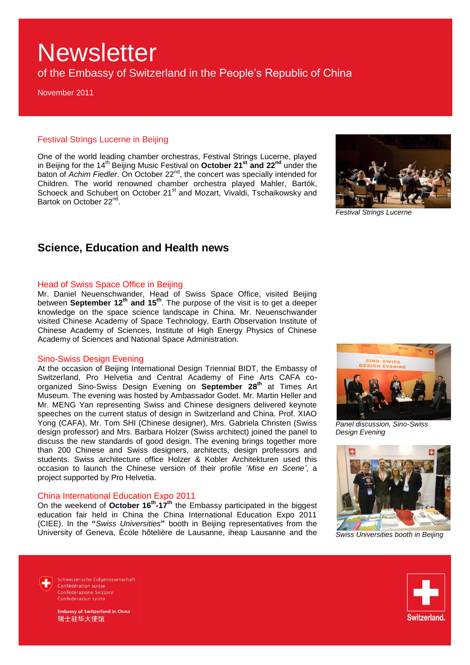of the Embassy of Switzerland in the People"s Republic of China

November 2011

#### Festival Strings Lucerne in Beijing

One of the world leading chamber orchestras, Festival Strings Lucerne, played in Beijing for the 14th Beijing Music Festival on **October 21st and 22nd** under the baton of *Achim Fiedler*. On October 22<sup>nd</sup>, the concert was specially intended for Children. The world renowned chamber orchestra played Mahler, Bartók, Schoeck and Schubert on October 21<sup>st</sup> and Mozart, Vivaldi, Tschaikowsky and Bartok on October 22<sup>nd</sup>.



*Festival Strings Lucerne*

### **Science, Education and Health news**

#### Head of Swiss Space Office in Beijing

Mr. Daniel Neuenschwander, Head of Swiss Space Office, visited Beijing between **September 12th and 15th**. The purpose of the visit is to get a deeper knowledge on the space science landscape in China. Mr. Neuenschwander visited Chinese Academy of Space Technology, Earth Observation Institute of Chinese Academy of Sciences, Institute of High Energy Physics of Chinese Academy of Sciences and National Space Administration.

#### Sino-Swiss Design Evening

At the occasion of Beijing International Design Triennial BIDT, the Embassy of Switzerland, Pro Helvetia and Central Academy of Fine Arts CAFA coorganized Sino-Swiss Design Evening on **September 28th** at Times Art Museum. The evening was hosted by Ambassador Godet. Mr. Martin Heller and Mr. MENG Yan representing Swiss and Chinese designers delivered keynote speeches on the current status of design in Switzerland and China. Prof. XIAO Yong (CAFA), Mr. Tom SHI (Chinese designer), Mrs. Gabriela Christen (Swiss design professor) and Mrs. Barbara Holzer (Swiss architect) joined the panel to discuss the new standards of good design. The evening brings together more than 200 Chinese and Swiss designers, architects, design professors and students. Swiss architecture office Holzer & Kobler Architekturen used this occasion to launch the Chinese version of their profile "*Mise en Scene"*, a project supported by Pro Helvetia.

#### China International Education Expo 2011

On the weekend of **October 16th -17th** the Embassy participated in the biggest education fair held in China the China International Education Expo 2011 (CIEE). In the **"***Swiss Universities***"** booth in Beijing representatives from the University of Geneva, École hôtelière de Lausanne, iheap Lausanne and the



*Panel discussion, Sino-Swiss Design Evening* 



*Swiss Universities booth in Beijing*

Schweizerische Eidgenossenschaft Confédération suisse Confederazione Svizzera Confederaziun svizra



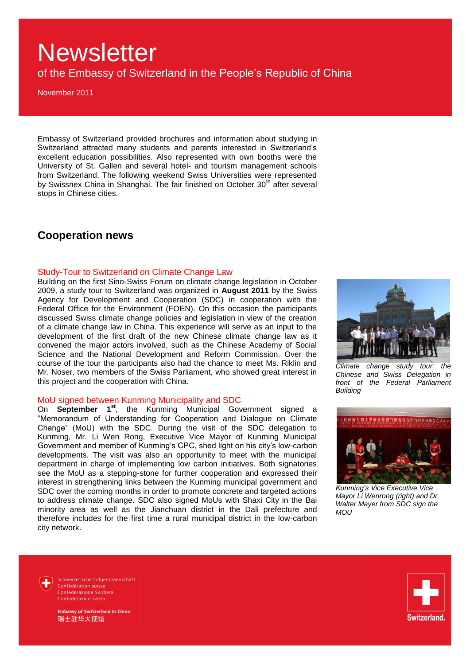of the Embassy of Switzerland in the People's Republic of China

November 2011

Embassy of Switzerland provided brochures and information about studying in Switzerland attracted many students and parents interested in Switzerland"s excellent education possibilities. Also represented with own booths were the University of St. Gallen and several hotel- and tourism management schools from Switzerland. The following weekend Swiss Universities were represented by Swissnex China in Shanghai. The fair finished on October 30<sup>th</sup> after several stops in Chinese cities.

### **Cooperation news**

#### Study-Tour to Switzerland on Climate Change Law

Building on the first Sino-Swiss Forum on climate change legislation in October 2009, a study tour to Switzerland was organized in **August 2011** by the Swiss Agency for Development and Cooperation (SDC) in cooperation with the Federal Office for the Environment (FOEN). On this occasion the participants discussed Swiss climate change policies and legislation in view of the creation of a climate change law in China. This experience will serve as an input to the development of the first draft of the new Chinese climate change law as it convened the major actors involved, such as the Chinese Academy of Social Science and the National Development and Reform Commission. Over the course of the tour the participants also had the chance to meet Ms. Riklin and Mr. Noser, two members of the Swiss Parliament, who showed great interest in this project and the cooperation with China.

#### MoU signed between Kunming Municipality and SDC

On **September 1st**, the Kunming Municipal Government signed a "Memorandum of Understanding for Cooperation and Dialogue on Climate Change" (MoU) with the SDC. During the visit of the SDC delegation to Kunming, Mr. Li Wen Rong, Executive Vice Mayor of Kunming Municipal Government and member of Kunming"s CPC, shed light on his city"s low-carbon developments. The visit was also an opportunity to meet with the municipal department in charge of implementing low carbon initiatives. Both signatories see the MoU as a stepping-stone for further cooperation and expressed their interest in strengthening links between the Kunming municipal government and SDC over the coming months in order to promote concrete and targeted actions to address climate change. SDC also signed MoUs with Shaxi City in the Bai minority area as well as the Jianchuan district in the Dali prefecture and therefore includes for the first time a rural municipal district in the low-carbon city network.



*Climate change study tour: the Chinese and Swiss Delegation in front of the Federal Parliament Building*



*Kunming"s Vice Executive Vice Mayor Li Wenrong (right) and Dr. Walter Mayer from SDC sign the MOU*

Schweizerische Eidgenossenschaft Confédération suisse Confederazione Svizzera Confederaziun svizra

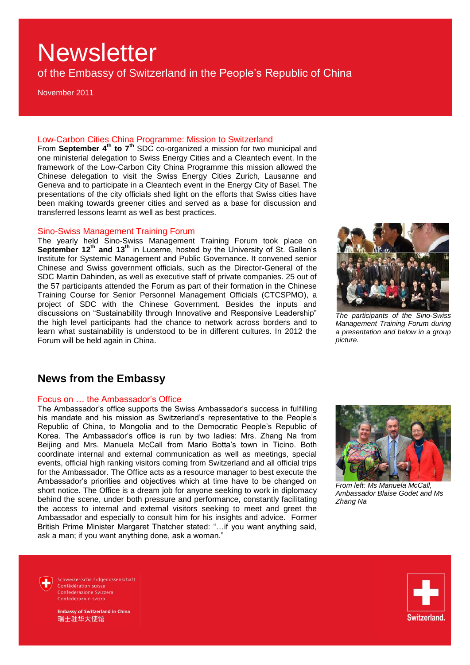of the Embassy of Switzerland in the People"s Republic of China

November 2011

#### Low-Carbon Cities China Programme: Mission to Switzerland

From **September 4th to 7th** SDC co-organized a mission for two municipal and one ministerial delegation to Swiss Energy Cities and a Cleantech event. In the framework of the Low-Carbon City China Programme this mission allowed the Chinese delegation to visit the Swiss Energy Cities Zurich, Lausanne and Geneva and to participate in a Cleantech event in the Energy City of Basel. The presentations of the city officials shed light on the efforts that Swiss cities have been making towards greener cities and served as a base for discussion and transferred lessons learnt as well as best practices.

#### Sino-Swiss Management Training Forum

The yearly held Sino-Swiss Management Training Forum took place on **September 12th and 13th** in Lucerne, hosted by the University of St. Gallen"s Institute for Systemic Management and Public Governance. It convened senior Chinese and Swiss government officials, such as the Director-General of the SDC Martin Dahinden, as well as executive staff of private companies. 25 out of the 57 participants attended the Forum as part of their formation in the Chinese Training Course for Senior Personnel Management Officials (CTCSPMO), a project of SDC with the Chinese Government. Besides the inputs and discussions on "Sustainability through Innovative and Responsive Leadership" the high level participants had the chance to network across borders and to learn what sustainability is understood to be in different cultures. In 2012 the Forum will be held again in China.



*The participants of the Sino-Swiss Management Training Forum during a presentation and below in a group picture.*

### **News from the Embassy**

#### Focus on … the Ambassador"s Office

The Ambassador's office supports the Swiss Ambassador's success in fulfilling his mandate and his mission as Switzerland's representative to the People's Republic of China, to Mongolia and to the Democratic People"s Republic of Korea. The Ambassador"s office is run by two ladies: Mrs. Zhang Na from Beijing and Mrs. Manuela McCall from Mario Botta's town in Ticino. Both coordinate internal and external communication as well as meetings, special events, official high ranking visitors coming from Switzerland and all official trips for the Ambassador. The Office acts as a resource manager to best execute the Ambassador"s priorities and objectives which at time have to be changed on short notice. The Office is a dream job for anyone seeking to work in diplomacy behind the scene, under both pressure and performance, constantly facilitating the access to internal and external visitors seeking to meet and greet the Ambassador and especially to consult him for his insights and advice. Former British Prime Minister Margaret Thatcher stated: "…if you want anything said, ask a man; if you want anything done, ask a woman."



*From left: Ms Manuela McCall, Ambassador Blaise Godet and Ms Zhang Na*

Schweizerische Eidgenossenschaft Confédération suisse Confederazione Svizzera Confederaziun svizra